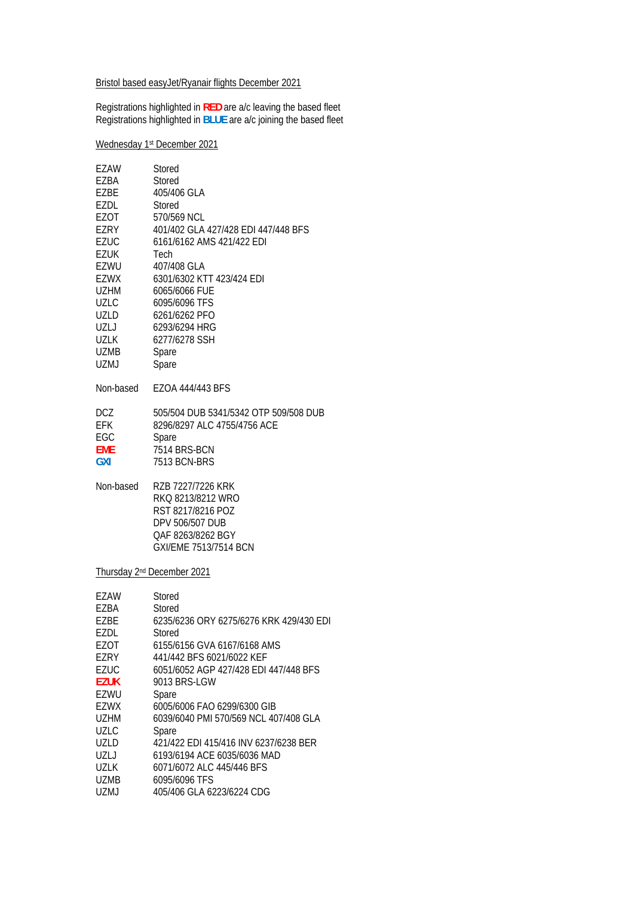Bristol based easyJet/Ryanair flights December 2021

Registrations highlighted in **RED** are a/c leaving the based fleet Registrations highlighted in **BLUE** are a/c joining the based fleet

Wednesday 1st December 2021

| EZAW<br>EZBA<br>EZBE<br><b>EZDL</b><br>EZOT<br>EZRY<br><b>EZUC</b><br><b>EZUK</b><br>EZWU<br><b>EZWX</b><br><b>UZHM</b><br>UZLC<br>UZLD | Stored<br>Stored<br>405/406 GLA<br>Stored<br>570/569 NCL<br>401/402 GLA 427/428 EDI 447/448 BFS<br>6161/6162 AMS 421/422 EDI<br>Tech<br>407/408 GLA<br>6301/6302 KTT 423/424 EDI<br>6065/6066 FUE<br>6095/6096 TFS<br>6261/6262 PFO |
|-----------------------------------------------------------------------------------------------------------------------------------------|-------------------------------------------------------------------------------------------------------------------------------------------------------------------------------------------------------------------------------------|
| UZLJ                                                                                                                                    | 6293/6294 HRG                                                                                                                                                                                                                       |
| <b>UZLK</b>                                                                                                                             | 6277/6278 SSH                                                                                                                                                                                                                       |
| <b>UZMB</b>                                                                                                                             | Spare                                                                                                                                                                                                                               |
| <b>UZMJ</b>                                                                                                                             | Spare                                                                                                                                                                                                                               |
| Non-based                                                                                                                               | EZOA 444/443 BFS                                                                                                                                                                                                                    |
| <b>DCZ</b><br>EFK<br>EGC<br><b>EME</b><br><b>GXI</b>                                                                                    | 505/504 DUB 5341/5342 OTP 509/508 DUB<br>8296/8297 ALC 4755/4756 ACE<br>Spare<br>7514 BRS-BCN<br>7513 BCN-BRS                                                                                                                       |
| Non-based                                                                                                                               | RZB 7227/7226 KRK<br>RKQ 8213/8212 WRO<br>RST 8217/8216 POZ<br>DPV 506/507 DUB<br>QAF 8263/8262 BGY<br>GXI/EME 7513/7514 BCN                                                                                                        |
|                                                                                                                                         | Thursday 2 <sup>nd</sup> December 2021                                                                                                                                                                                              |
| EZAW                                                                                                                                    | Stored                                                                                                                                                                                                                              |
| EZBA                                                                                                                                    | Stored                                                                                                                                                                                                                              |
| EZBE                                                                                                                                    | 6235/6236 ORY 6275/6276 KRK 429/430 EDI                                                                                                                                                                                             |
| EZDL                                                                                                                                    | Stored                                                                                                                                                                                                                              |
| <b>EZOT</b>                                                                                                                             | 6155/6156 GVA 6167/6168 AMS                                                                                                                                                                                                         |
| EZRY                                                                                                                                    | 441/442 BFS 6021/6022 KEF                                                                                                                                                                                                           |
| <b>EZUC</b>                                                                                                                             | 6051/6052 AGP 427/428 EDI 447/448 BFS                                                                                                                                                                                               |
| <b>EZUK</b>                                                                                                                             | 9013 BRS-LGW                                                                                                                                                                                                                        |
| EZWU                                                                                                                                    | Spare                                                                                                                                                                                                                               |
| EZWX                                                                                                                                    | 6005/6006 FAO 6299/6300 GIB                                                                                                                                                                                                         |
| <b>UZHM</b><br><b>UZLC</b>                                                                                                              | 6039/6040 PMI 570/569 NCL 407/408 GLA                                                                                                                                                                                               |
| <b>UZLD</b>                                                                                                                             | Spare<br>421/422 EDI 415/416 INV 6237/6238 BER                                                                                                                                                                                      |
| UZLJ                                                                                                                                    | 6193/6194 ACE 6035/6036 MAD                                                                                                                                                                                                         |
| <b>UZLK</b>                                                                                                                             | 6071/6072 ALC 445/446 BFS                                                                                                                                                                                                           |
| <b>UZMB</b>                                                                                                                             | 6095/6096 TFS                                                                                                                                                                                                                       |
| UZMJ                                                                                                                                    | 405/406 GLA 6223/6224 CDG                                                                                                                                                                                                           |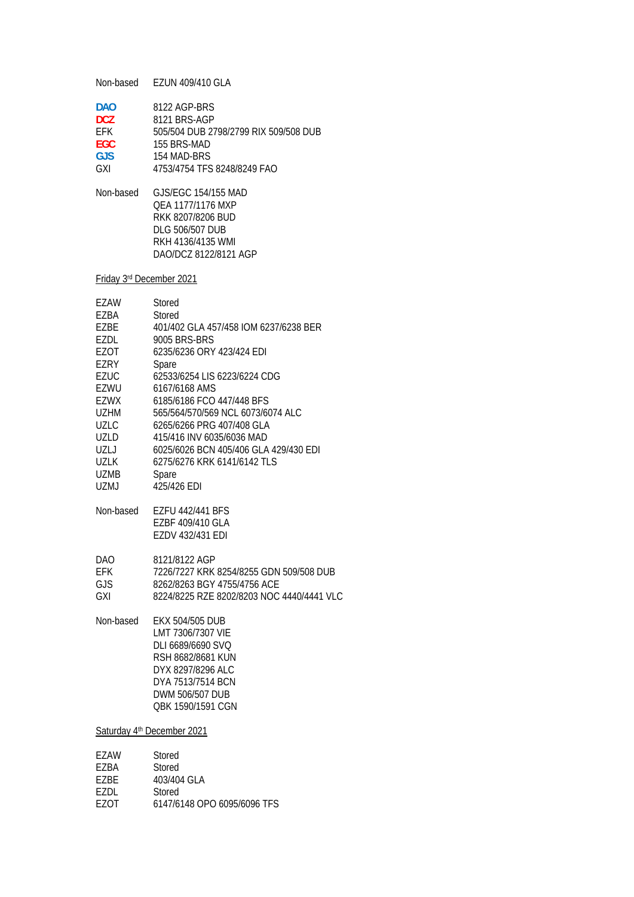Non-based EZUN 409/410 GLA **DAO** 8122 AGP-BRS **DCZ** 8121 BRS-AGP EFK 505/504 DUB 2798/2799 RIX 509/508 DUB **EGC** 155 BRS-MAD **GJS** 154 MAD-BRS GXI 4753/4754 TFS 8248/8249 FAO Non-based GJS/EGC 154/155 MAD QEA 1177/1176 MXP RKK 8207/8206 BUD DLG 506/507 DUB RKH 4136/4135 WMI DAO/DCZ 8122/8121 AGP Friday 3rd December 2021 EZAW Stored EZBA Stored EZBE 401/402 GLA 457/458 IOM 6237/6238 BER EZDL 9005 BRS-BRS EZOT 6235/6236 ORY 423/424 EDI EZRY Spare EZUC 62533/6254 LIS 6223/6224 CDG EZWU 6167/6168 AMS EZWX 6185/6186 FCO 447/448 BFS UZHM 565/564/570/569 NCL 6073/6074 ALC UZLC 6265/6266 PRG 407/408 GLA<br>UZLD 415/416 INV 6035/6036 MAD 415/416 INV 6035/6036 MAD UZLJ 6025/6026 BCN 405/406 GLA 429/430 EDI UZLK 6275/6276 KRK 6141/6142 TLS<br>UZMB Spare Spare UZMJ 425/426 EDI

Non-based EZFU 442/441 BFS EZBF 409/410 GLA EZDV 432/431 EDI

DAO 8121/8122 AGP

EFK 7226/7227 KRK 8254/8255 GDN 509/508 DUB<br>GJS 8262/8263 BGY 4755/4756 ACE 8262/8263 BGY 4755/4756 ACE

GXI 8224/8225 RZE 8202/8203 NOC 4440/4441 VLC

Non-based EKX 504/505 DUB LMT 7306/7307 VIE DLI 6689/6690 SVQ RSH 8682/8681 KUN DYX 8297/8296 ALC DYA 7513/7514 BCN DWM 506/507 DUB QBK 1590/1591 CGN

Saturday 4<sup>th</sup> December 2021

| F7AW  | Stored                      |
|-------|-----------------------------|
| F7RA  | Stored                      |
| F7RF  | 403/404 GLA                 |
| F7DI. | Stored                      |
| F70T  | 6147/6148 OPO 6095/6096 TFS |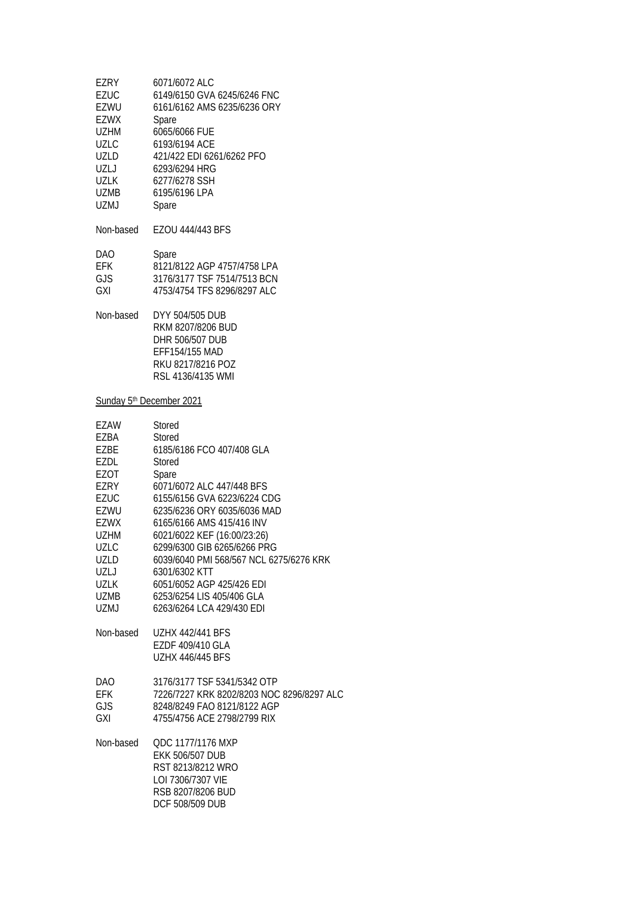| EZRY<br><b>EZUC</b><br>EZWU<br><b>EZWX</b><br>UZHM<br>UZLC<br>UZLD<br>UZLJ<br><b>UZLK</b><br>UZMB<br><b>UZMJ</b>                   | 6071/6072 ALC<br>6149/6150 GVA 6245/6246 FNC<br>6161/6162 AMS 6235/6236 ORY<br>Spare<br>6065/6066 FUE<br>6193/6194 ACE<br>421/422 EDI 6261/6262 PFO<br>6293/6294 HRG<br>6277/6278 SSH<br>6195/6196 LPA<br>Spare                                                                                                                                                                     |
|------------------------------------------------------------------------------------------------------------------------------------|-------------------------------------------------------------------------------------------------------------------------------------------------------------------------------------------------------------------------------------------------------------------------------------------------------------------------------------------------------------------------------------|
| Non-based                                                                                                                          | EZOU 444/443 BFS                                                                                                                                                                                                                                                                                                                                                                    |
| DAO<br><b>EFK</b><br><b>GJS</b><br>GXI                                                                                             | Spare<br>8121/8122 AGP 4757/4758 LPA<br>3176/3177 TSF 7514/7513 BCN<br>4753/4754 TFS 8296/8297 ALC                                                                                                                                                                                                                                                                                  |
| Non-based                                                                                                                          | DYY 504/505 DUB<br>RKM 8207/8206 BUD<br>DHR 506/507 DUB<br>EFF154/155 MAD<br>RKU 8217/8216 POZ<br>RSL 4136/4135 WMI                                                                                                                                                                                                                                                                 |
| Sunday 5th December 2021                                                                                                           |                                                                                                                                                                                                                                                                                                                                                                                     |
| EZAW<br>EZBA<br>EZBE<br>EZDL<br>EZOT<br>EZRY<br><b>EZUC</b><br>EZWU<br>EZWX<br><b>UZHM</b><br>UZLC<br>UZLD<br>UZLJ<br>UZLK<br>UZMB | <b>Stored</b><br>Stored<br>6185/6186 FCO 407/408 GLA<br>Stored<br>Spare<br>6071/6072 ALC 447/448 BFS<br>6155/6156 GVA 6223/6224 CDG<br>6235/6236 ORY 6035/6036 MAD<br>6165/6166 AMS 415/416 INV<br>6021/6022 KEF (16:00/23:26)<br>6299/6300 GIB 6265/6266 PRG<br>6039/6040 PMI 568/567 NCL 6275/6276 KRK<br>6301/6302 KTT<br>6051/6052 AGP 425/426 EDI<br>6253/6254 LIS 405/406 GLA |
| UZMJ<br>Non-based                                                                                                                  | 6263/6264 LCA 429/430 EDI<br><b>UZHX 442/441 BFS</b><br>EZDF 409/410 GLA<br><b>UZHX 446/445 BFS</b>                                                                                                                                                                                                                                                                                 |
| DAO<br><b>EFK</b><br><b>GJS</b><br>GXI                                                                                             | 3176/3177 TSF 5341/5342 OTP<br>7226/7227 KRK 8202/8203 NOC 8296/8297 ALC<br>8248/8249 FAO 8121/8122 AGP<br>4755/4756 ACE 2798/2799 RIX                                                                                                                                                                                                                                              |
| Non-based                                                                                                                          | QDC 1177/1176 MXP<br><b>EKK 506/507 DUB</b><br>RST 8213/8212 WRO<br>LOI 7306/7307 VIE                                                                                                                                                                                                                                                                                               |

 RSB 8207/8206 BUD DCF 508/509 DUB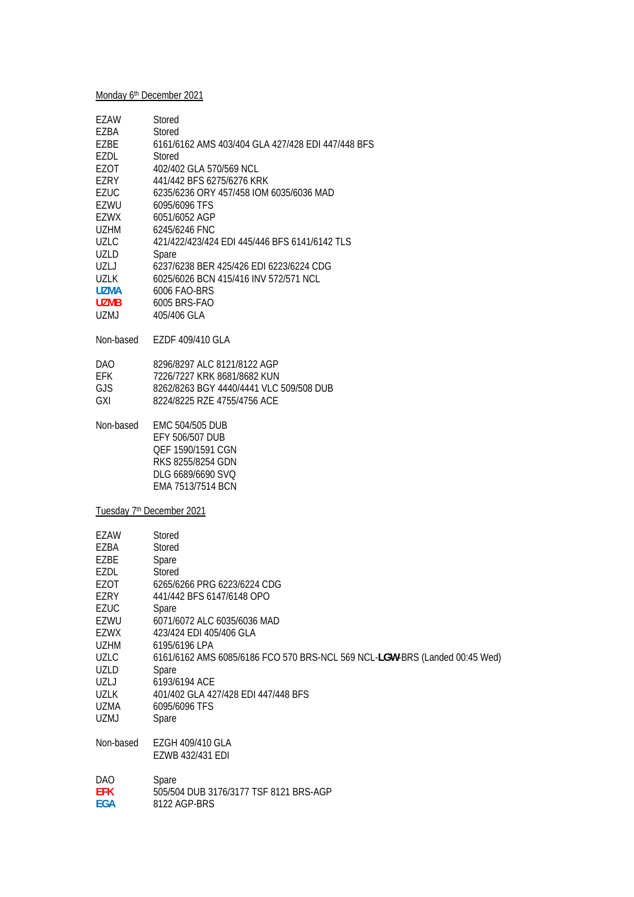# Monday 6<sup>th</sup> December 2021

| EZAW        | Stored                                                                     |
|-------------|----------------------------------------------------------------------------|
| EZBA        | Stored                                                                     |
| EZBE        | 6161/6162 AMS 403/404 GLA 427/428 EDI 447/448 BFS                          |
| EZDL        | Stored                                                                     |
| EZOT        | 402/402 GLA 570/569 NCL                                                    |
| EZRY        | 441/442 BFS 6275/6276 KRK                                                  |
| <b>EZUC</b> | 6235/6236 ORY 457/458 IOM 6035/6036 MAD                                    |
|             |                                                                            |
| EZWU        | 6095/6096 TFS                                                              |
| EZWX        | 6051/6052 AGP                                                              |
| <b>UZHM</b> | 6245/6246 FNC                                                              |
| <b>UZLC</b> | 421/422/423/424 EDI 445/446 BFS 6141/6142 TLS                              |
| <b>UZLD</b> | Spare                                                                      |
| UZLJ        | 6237/6238 BER 425/426 EDI 6223/6224 CDG                                    |
| <b>UZLK</b> | 6025/6026 BCN 415/416 INV 572/571 NCL                                      |
| <b>UZMA</b> | 6006 FAO-BRS                                                               |
| <b>UZMB</b> | 6005 BRS-FAO                                                               |
| <b>UZMJ</b> | 405/406 GLA                                                                |
|             |                                                                            |
| Non-based   | EZDF 409/410 GLA                                                           |
|             |                                                                            |
| <b>DAO</b>  | 8296/8297 ALC 8121/8122 AGP                                                |
| <b>EFK</b>  | 7226/7227 KRK 8681/8682 KUN                                                |
| <b>GJS</b>  | 8262/8263 BGY 4440/4441 VLC 509/508 DUB                                    |
|             | 8224/8225 RZE 4755/4756 ACE                                                |
| <b>GXI</b>  |                                                                            |
| Non-based   | <b>EMC 504/505 DUB</b>                                                     |
|             |                                                                            |
|             | EFY 506/507 DUB                                                            |
|             | QEF 1590/1591 CGN                                                          |
|             | RKS 8255/8254 GDN                                                          |
|             | DLG 6689/6690 SVQ                                                          |
|             | EMA 7513/7514 BCN                                                          |
|             |                                                                            |
|             | Tuesday 7 <sup>th</sup> December 2021                                      |
| <b>EZAW</b> | Stored                                                                     |
|             |                                                                            |
| EZBA        | Stored                                                                     |
| EZBE        | Spare                                                                      |
| EZDL        | Stored                                                                     |
| EZOT        | 6265/6266 PRG 6223/6224 CDG                                                |
| <b>EZRY</b> | 441/442 BFS 6147/6148 OPO                                                  |
| EZUC        | Spare                                                                      |
| EZWU        | 6071/6072 ALC 6035/6036 MAD                                                |
| EZWX        | 423/424 EDI 405/406 GLA                                                    |
| <b>UZHM</b> | 6195/6196 LPA                                                              |
| <b>UZLC</b> | 6161/6162 AMS 6085/6186 FCO 570 BRS-NCL 569 NCL-LGW-BRS (Landed 00:45 Wed) |
| UZLD        | Spare                                                                      |
| <b>UZLJ</b> | 6193/6194 ACE                                                              |
|             |                                                                            |
| <b>UZLK</b> | 401/402 GLA 427/428 EDI 447/448 BFS                                        |
| <b>UZMA</b> | 6095/6096 TFS                                                              |
| UZMJ        | Spare                                                                      |
|             |                                                                            |
| Non-based   | EZGH 409/410 GLA                                                           |
|             | EZWB 432/431 EDI                                                           |
|             |                                                                            |
| <b>DAO</b>  | Spare                                                                      |
| <b>EFK</b>  | 505/504 DUB 3176/3177 TSF 8121 BRS-AGP                                     |
| <b>EGA</b>  | 8122 AGP-BRS                                                               |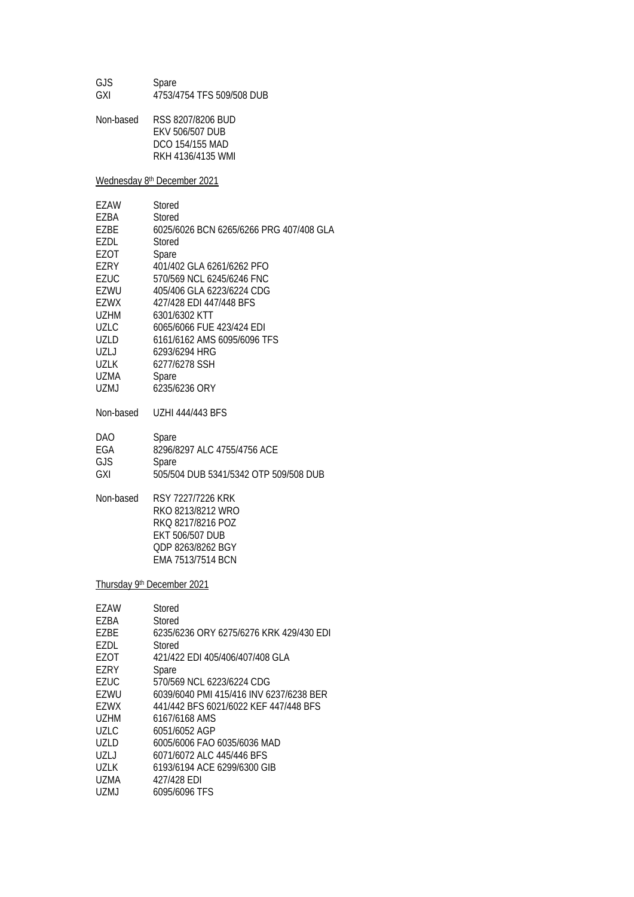GJS Spare GXI 4753/4754 TFS 509/508 DUB

Non-based RSS 8207/8206 BUD EKV 506/507 DUB DCO 154/155 MAD RKH 4136/4135 WMI

Wednesday 8<sup>th</sup> December 2021

| F7AW        | Stored                                  |
|-------------|-----------------------------------------|
| EZBA        | Stored                                  |
| F7RF        | 6025/6026 BCN 6265/6266 PRG 407/408 GLA |
| F7DI.       | Stored                                  |
| EZOT        | Spare                                   |
| EZRY        | 401/402 GLA 6261/6262 PFO               |
| <b>FZUC</b> | 570/569 NCL 6245/6246 FNC               |
| EZWU        | 405/406 GLA 6223/6224 CDG               |
| F7WX        | 427/428 EDI 447/448 BFS                 |
| U7HM        | 6301/6302 KTT                           |
| UZLC        | 6065/6066 FUE 423/424 EDI               |
| <b>UZLD</b> | 6161/6162 AMS 6095/6096 TFS             |
| UZL J       | 6293/6294 HRG                           |
| UZLK        | 6277/6278 SSH                           |
| UZMA        | Spare                                   |
| UZMJ        | 6235/6236 ORY                           |
|             |                                         |

Non-based UZHI 444/443 BFS

| DAO. | Spare                                 |
|------|---------------------------------------|
| EGA  | 8296/8297 ALC 4755/4756 ACE           |
| GJS  | Spare                                 |
| GXI  | 505/504 DUB 5341/5342 OTP 509/508 DUB |

Non-based RSY 7227/7226 KRK RKO 8213/8212 WRO RKQ 8217/8216 POZ EKT 506/507 DUB QDP 8263/8262 BGY EMA 7513/7514 BCN

Thursday 9th December 2021

| F7AW        | Stored                                  |
|-------------|-----------------------------------------|
| EZBA        | Stored                                  |
| F7BF        | 6235/6236 ORY 6275/6276 KRK 429/430 EDI |
| EZDL        | Stored                                  |
| EZOT        | 421/422 EDI 405/406/407/408 GLA         |
| F7RY        | Spare                                   |
| EZUC        | 570/569 NCL 6223/6224 CDG               |
| EZWU        | 6039/6040 PMI 415/416 INV 6237/6238 BER |
| F7WX        | 441/442 BFS 6021/6022 KFF 447/448 BFS   |
| U7HM        | 6167/6168 AMS                           |
| UZLC.       | 6051/6052 AGP                           |
| UZLD.       | 6005/6006 FAO 6035/6036 MAD             |
| UZL J       | 6071/6072 ALC 445/446 BFS               |
| <b>UZLK</b> | 6193/6194 ACE 6299/6300 GIB             |
| UZMA        | 427/428 EDI                             |
| UZMJ        | 6095/6096 TFS                           |
|             |                                         |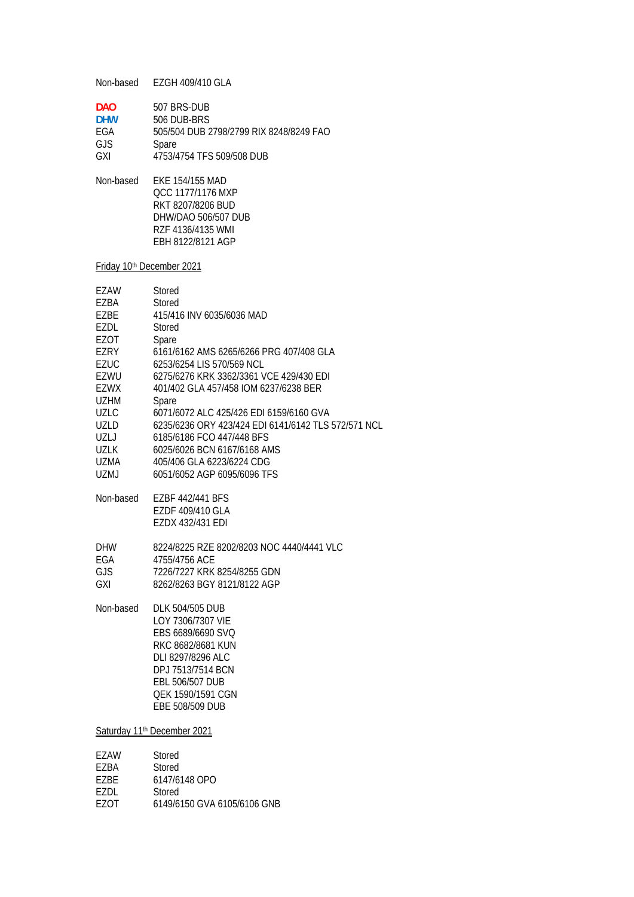Non-based EZGH 409/410 GLA

| DAO.       | 507 BRS-DUB                             |
|------------|-----------------------------------------|
| <b>DHW</b> | 506 DUB-BRS                             |
| FGA        | 505/504 DUB 2798/2799 RIX 8248/8249 FAO |
| GJS.       | Spare                                   |
| GXI        | 4753/4754 TFS 509/508 DUB               |

Non-based EKE 154/155 MAD QCC 1177/1176 MXP RKT 8207/8206 BUD DHW/DAO 506/507 DUB RZF 4136/4135 WMI EBH 8122/8121 AGP

Friday 10<sup>th</sup> December 2021

| EZAW        | Stored                                              |
|-------------|-----------------------------------------------------|
| EZBA        | Stored                                              |
| EZBE        | 415/416 INV 6035/6036 MAD                           |
| EZDL        | Stored                                              |
| EZOT        | Spare                                               |
| EZRY        | 6161/6162 AMS 6265/6266 PRG 407/408 GLA             |
| <b>EZUC</b> | 6253/6254 LIS 570/569 NCL                           |
| <b>EZWU</b> | 6275/6276 KRK 3362/3361 VCE 429/430 EDI             |
| <b>EZWX</b> | 401/402 GLA 457/458 IOM 6237/6238 BER               |
| <b>UZHM</b> | Spare                                               |
| <b>UZLC</b> | 6071/6072 ALC 425/426 EDI 6159/6160 GVA             |
| <b>UZLD</b> | 6235/6236 ORY 423/424 EDI 6141/6142 TLS 572/571 NCL |
| UZLJ        | 6185/6186 FCO 447/448 BFS                           |
| <b>UZLK</b> | 6025/6026 BCN 6167/6168 AMS                         |
| <b>UZMA</b> | 405/406 GLA 6223/6224 CDG                           |
| UZMJ        | 6051/6052 AGP 6095/6096 TFS                         |
| Non-based   | EZBF 442/441 BFS                                    |
|             | EZDF 409/410 GLA                                    |
|             | EZDX 432/431 EDI                                    |
| <b>DHW</b>  | 8224/8225 RZE 8202/8203 NOC 4440/4441 VLC           |
| EGA         | 4755/4756 ACE                                       |
| <b>GJS</b>  | 7226/7227 KRK 8254/8255 GDN                         |
| GXI         | 8262/8263 BGY 8121/8122 AGP                         |
| Non-based   | <b>DLK 504/505 DUB</b>                              |
|             | LOY 7306/7307 VIE                                   |
|             | EBS 6689/6690 SVQ                                   |
|             | RKC 8682/8681 KUN                                   |
|             | DLI 8297/8296 ALC                                   |
|             | DPJ 7513/7514 BCN                                   |
|             | EBL 506/507 DUB                                     |
|             | QEK 1590/1591 CGN                                   |
|             | EBE 508/509 DUB                                     |
|             | Saturday 11 <sup>th</sup> December 2021             |
| <b>EZAW</b> | Stored                                              |
| EZBA        | Stored                                              |
|             |                                                     |

- EZDL Stored<br>EZOT 6149/61
- 6149/6150 GVA 6105/6106 GNB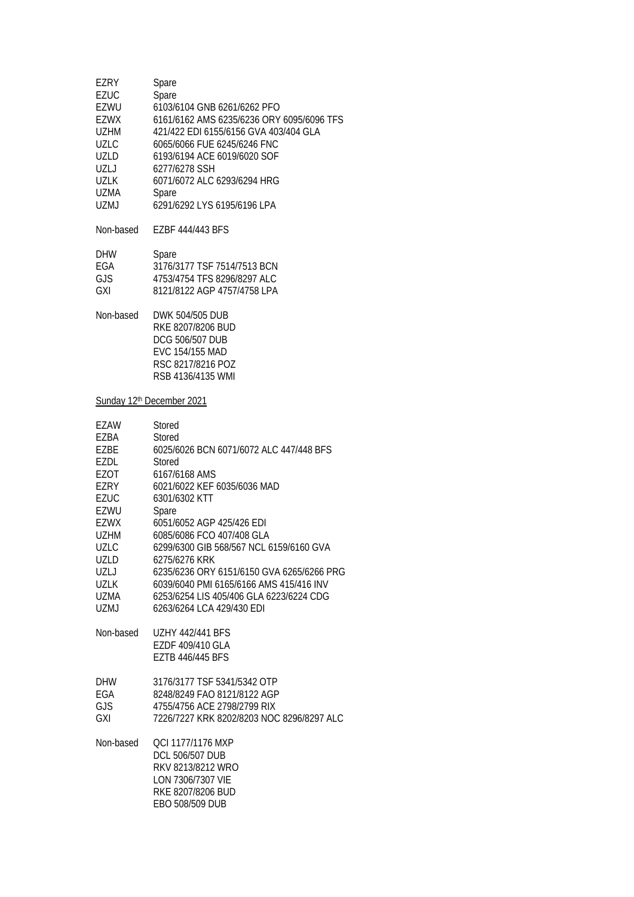| EZRY<br><b>EZUC</b><br>EZWU<br><b>EZWX</b><br>UZHM<br><b>UZLC</b><br><b>UZLD</b><br>UZLJ<br><b>UZLK</b><br>UZMA<br><b>UZMJ</b>                                                      | Spare<br>Spare<br>6103/6104 GNB 6261/6262 PFO<br>6161/6162 AMS 6235/6236 ORY 6095/6096 TFS<br>421/422 EDI 6155/6156 GVA 403/404 GLA<br>6065/6066 FUE 6245/6246 FNC<br>6193/6194 ACE 6019/6020 SOF<br>6277/6278 SSH<br>6071/6072 ALC 6293/6294 HRG<br>Spare<br>6291/6292 LYS 6195/6196 LPA                                                                                                                                                                               |
|-------------------------------------------------------------------------------------------------------------------------------------------------------------------------------------|-------------------------------------------------------------------------------------------------------------------------------------------------------------------------------------------------------------------------------------------------------------------------------------------------------------------------------------------------------------------------------------------------------------------------------------------------------------------------|
| Non-based                                                                                                                                                                           | EZBF 444/443 BFS                                                                                                                                                                                                                                                                                                                                                                                                                                                        |
| DHW<br>EGA<br>GJS<br><b>GXI</b>                                                                                                                                                     | Spare<br>3176/3177 TSF 7514/7513 BCN<br>4753/4754 TFS 8296/8297 ALC<br>8121/8122 AGP 4757/4758 LPA                                                                                                                                                                                                                                                                                                                                                                      |
| Non-based                                                                                                                                                                           | DWK 504/505 DUB<br>RKE 8207/8206 BUD<br><b>DCG 506/507 DUB</b><br>EVC 154/155 MAD<br>RSC 8217/8216 POZ<br>RSB 4136/4135 WMI                                                                                                                                                                                                                                                                                                                                             |
|                                                                                                                                                                                     | Sunday 12th December 2021                                                                                                                                                                                                                                                                                                                                                                                                                                               |
| EZAW<br>EZBA<br>EZBE<br>EZDL<br>EZOT<br>EZRY<br><b>EZUC</b><br>EZWU<br><b>EZWX</b><br><b>UZHM</b><br><b>UZLC</b><br>UZLD<br>UZLJ<br><b>UZLK</b><br>UZMA<br><b>UZMJ</b><br>Non-based | <b>Stored</b><br>Stored<br>6025/6026 BCN 6071/6072 ALC 447/448 BFS<br>Stored<br>6167/6168 AMS<br>6021/6022 KEF 6035/6036 MAD<br>6301/6302 KTT<br>Spare<br>6051/6052 AGP 425/426 EDI<br>6085/6086 FCO 407/408 GLA<br>6299/6300 GIB 568/567 NCL 6159/6160 GVA<br>6275/6276 KRK<br>6235/6236 ORY 6151/6150 GVA 6265/6266 PRG<br>6039/6040 PMI 6165/6166 AMS 415/416 INV<br>6253/6254 LIS 405/406 GLA 6223/6224 CDG<br>6263/6264 LCA 429/430 EDI<br><b>UZHY 442/441 BFS</b> |
|                                                                                                                                                                                     | EZDF 409/410 GLA<br>EZTB 446/445 BFS                                                                                                                                                                                                                                                                                                                                                                                                                                    |
| <b>DHW</b><br>EGA<br>GJS<br>GXI                                                                                                                                                     | 3176/3177 TSF 5341/5342 OTP<br>8248/8249 FAO 8121/8122 AGP<br>4755/4756 ACE 2798/2799 RIX<br>7226/7227 KRK 8202/8203 NOC 8296/8297 ALC                                                                                                                                                                                                                                                                                                                                  |
| Non-based                                                                                                                                                                           | QCI 1177/1176 MXP<br><b>DCL 506/507 DUB</b><br>RKV 8213/8212 WRO<br>LON 7306/7307 VIE<br>RKE 8207/8206 BUD<br>EBO 508/509 DUB                                                                                                                                                                                                                                                                                                                                           |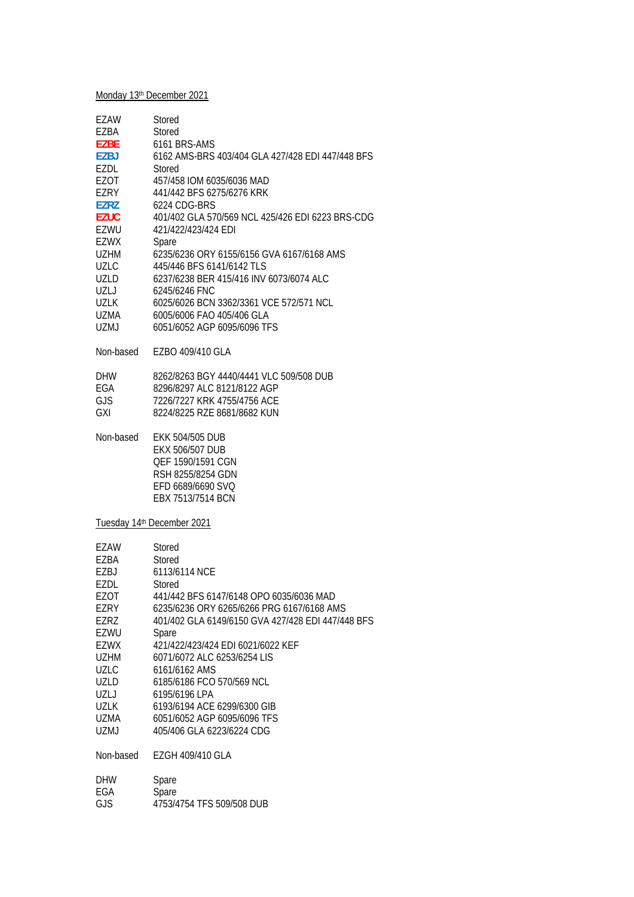# Monday 13<sup>th</sup> December 2021

| <b>EZAW</b> | Stored                                            |
|-------------|---------------------------------------------------|
| EZBA        | Stored                                            |
| <b>EZBE</b> | 6161 BRS-AMS                                      |
| <b>EZBJ</b> | 6162 AMS-BRS 403/404 GLA 427/428 EDI 447/448 BFS  |
| EZDL        | Stored                                            |
| EZOT        | 457/458 IOM 6035/6036 MAD                         |
| <b>EZRY</b> | 441/442 BFS 6275/6276 KRK                         |
| <b>EZRZ</b> | 6224 CDG-BRS                                      |
|             |                                                   |
| <b>EZUC</b> | 401/402 GLA 570/569 NCL 425/426 EDI 6223 BRS-CDG  |
| EZWU        | 421/422/423/424 EDI                               |
| <b>EZWX</b> | Spare                                             |
| <b>UZHM</b> | 6235/6236 ORY 6155/6156 GVA 6167/6168 AMS         |
| <b>UZLC</b> | 445/446 BFS 6141/6142 TLS                         |
| <b>UZLD</b> | 6237/6238 BER 415/416 INV 6073/6074 ALC           |
| UZLJ        | 6245/6246 FNC                                     |
| <b>UZLK</b> | 6025/6026 BCN 3362/3361 VCE 572/571 NCL           |
| UZMA        | 6005/6006 FAO 405/406 GLA                         |
| <b>UZMJ</b> | 6051/6052 AGP 6095/6096 TFS                       |
|             |                                                   |
| Non-based   | EZBO 409/410 GLA                                  |
|             |                                                   |
| <b>DHW</b>  | 8262/8263 BGY 4440/4441 VLC 509/508 DUB           |
| EGA         | 8296/8297 ALC 8121/8122 AGP                       |
| <b>GJS</b>  | 7226/7227 KRK 4755/4756 ACF                       |
| <b>GXI</b>  | 8224/8225 RZE 8681/8682 KUN                       |
| Non-based   | <b>EKK 504/505 DUB</b>                            |
|             | EKX 506/507 DUB                                   |
|             |                                                   |
|             | QEF 1590/1591 CGN                                 |
|             | RSH 8255/8254 GDN                                 |
|             | EFD 6689/6690 SVQ                                 |
|             | EBX 7513/7514 BCN                                 |
|             | Tuesday 14th December 2021                        |
| EZAW        | Stored                                            |
|             |                                                   |
| EZBA        | Stored                                            |
| EZBJ        | 6113/6114 NCE                                     |
| EZDL        | Stored                                            |
| <b>EZOT</b> | 441/442 BFS 6147/6148 OPO 6035/6036 MAD           |
| EZRY        | 6235/6236 ORY 6265/6266 PRG 6167/6168 AMS         |
| EZRZ        | 401/402 GLA 6149/6150 GVA 427/428 EDI 447/448 BFS |
| EZWU        | Spare                                             |
| <b>EZWX</b> | 421/422/423/424 EDI 6021/6022 KEF                 |
| <b>UZHM</b> | 6071/6072 ALC 6253/6254 LIS                       |
| <b>UZLC</b> | 6161/6162 AMS                                     |
| <b>UZLD</b> | 6185/6186 FCO 570/569 NCL                         |
| UZLJ        | 6195/6196 LPA                                     |
| <b>UZLK</b> | 6193/6194 ACE 6299/6300 GIB                       |
| UZMA        | 6051/6052 AGP 6095/6096 TFS                       |
| <b>UZMJ</b> | 405/406 GLA 6223/6224 CDG                         |
| Non-based   |                                                   |
|             | EZGH 409/410 GLA                                  |
|             |                                                   |
| <b>DHW</b>  | Spare                                             |
| EGA<br>GJS  | Spare<br>4753/4754 TFS 509/508 DUB                |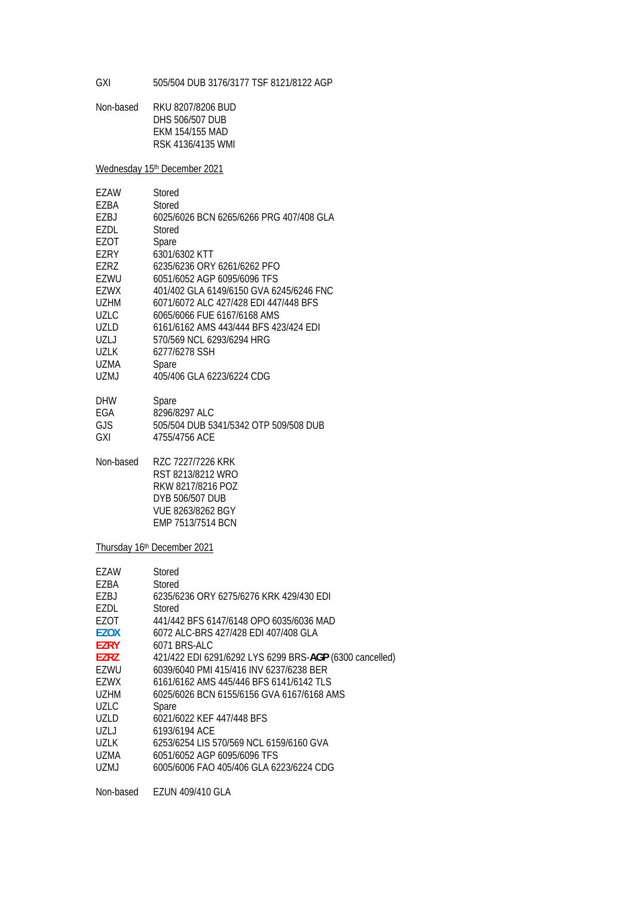GXI 505/504 DUB 3176/3177 TSF 8121/8122 AGP

Non-based RKU 8207/8206 BUD DHS 506/507 DUB EKM 154/155 MAD RSK 4136/4135 WMI

Wednesday 15<sup>th</sup> December 2021

| EZAW  | Stored                                  |
|-------|-----------------------------------------|
| EZBA  | Stored                                  |
| F7BJ  | 6025/6026 BCN 6265/6266 PRG 407/408 GLA |
| EZDL  | Stored                                  |
| EZOT  | Spare                                   |
| EZRY  | 6301/6302 KTT                           |
| F7R7  | 6235/6236 ORY 6261/6262 PFO             |
| EZWU  | 6051/6052 AGP 6095/6096 TFS             |
| EZWX  | 401/402 GLA 6149/6150 GVA 6245/6246 FNC |
| UZHM  | 6071/6072 ALC 427/428 FDI 447/448 BFS   |
| UZLC  | 6065/6066 FUE 6167/6168 AMS             |
| UZLD  | 6161/6162 AMS 443/444 BFS 423/424 EDI   |
| UZL J | 570/569 NCL 6293/6294 HRG               |
| UZLK  | 6277/6278 SSH                           |
| UZMA  | Spare                                   |
| UZMJ  | 405/406 GLA 6223/6224 CDG               |
| DHW   | Spare                                   |

| DHVV | <b>Spare</b>                          |
|------|---------------------------------------|
| EGA  | 8296/8297 ALC                         |
| GJS. | 505/504 DUB 5341/5342 OTP 509/508 DUB |
| GXI  | 4755/4756 ACE                         |

Non-based RZC 7227/7226 KRK RST 8213/8212 WRO RKW 8217/8216 POZ DYB 506/507 DUB VUE 8263/8262 BGY EMP 7513/7514 BCN

Thursday 16<sup>th</sup> December 2021

| FZAW        | Stored                                                  |
|-------------|---------------------------------------------------------|
| EZBA        | Stored                                                  |
| F7BJ        | 6235/6236 ORY 6275/6276 KRK 429/430 FDI                 |
| EZDL        | Stored                                                  |
| F70T        | 441/442 BFS 6147/6148 OPO 6035/6036 MAD                 |
| <b>EZOX</b> | 6072 ALC-BRS 427/428 EDI 407/408 GLA                    |
| <b>F7RY</b> | 6071 BRS-ALC                                            |
| F7R7        | 421/422 EDI 6291/6292 LYS 6299 BRS-AGP (6300 cancelled) |
| EZWU        | 6039/6040 PMI 415/416 INV 6237/6238 BER                 |
| EZWX        | 6161/6162 AMS 445/446 BFS 6141/6142 TLS                 |
| UZHM        | 6025/6026 BCN 6155/6156 GVA 6167/6168 AMS               |
| UZLC.       | Spare                                                   |
| UZLD.       | 6021/6022 KEF 447/448 BFS                               |
| UZLJ        | 6193/6194 ACE                                           |
| <b>UZLK</b> | 6253/6254 LIS 570/569 NCL 6159/6160 GVA                 |
| UZMA        | 6051/6052 AGP 6095/6096 TFS                             |
| UZMJ        | 6005/6006 FAO 405/406 GLA 6223/6224 CDG                 |
|             |                                                         |

Non-based EZUN 409/410 GLA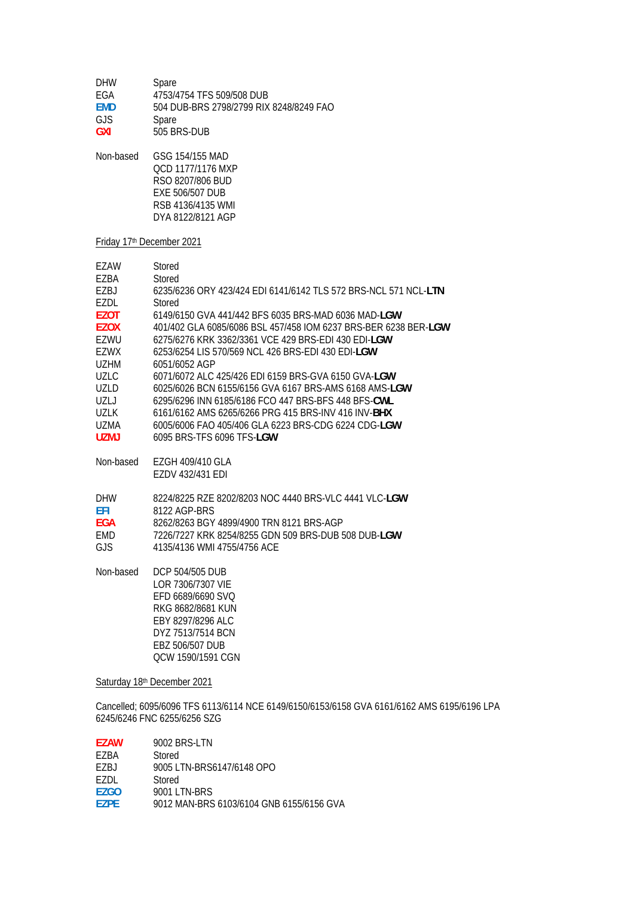| <b>DHW</b> | Spare                                   |
|------------|-----------------------------------------|
| FGA        | 4753/4754 TFS 509/508 DUB               |
| <b>FMD</b> | 504 DUB-BRS 2798/2799 RIX 8248/8249 FAO |
| GJS.       | Spare                                   |
| <b>GXI</b> | 505 BRS-DUB                             |

Non-based GSG 154/155 MAD QCD 1177/1176 MXP RSO 8207/806 BUD EXE 506/507 DUB RSB 4136/4135 WMI DYA 8122/8121 AGP

### Friday 17th December 2021

| F7AW        | Stored                                                          |
|-------------|-----------------------------------------------------------------|
| F7BA        | Stored                                                          |
| EZBJ        | 6235/6236 ORY 423/424 EDI 6141/6142 TLS 572 BRS-NCL 571 NCL-LTN |
| F7DI.       | Stored                                                          |
| <b>EZOT</b> | 6149/6150 GVA 441/442 BFS 6035 BRS-MAD 6036 MAD-LGW             |
| <b>F7OX</b> | 401/402 GLA 6085/6086 BSL 457/458 IOM 6237 BRS-BER 6238 BER-LGW |
| EZWU        | 6275/6276 KRK 3362/3361 VCE 429 BRS-EDI 430 EDI-LGW             |
| F7WX        | 6253/6254 LIS 570/569 NCL 426 BRS-EDI 430 EDI-LGW               |
| U7HM        | 6051/6052 AGP                                                   |
| UZLC        | 6071/6072 ALC 425/426 EDI 6159 BRS-GVA 6150 GVA-LGW             |
| UZLD        | 6025/6026 BCN 6155/6156 GVA 6167 BRS-AMS 6168 AMS-LGW           |
| [ 7 ]       | 6295/6296 INN 6185/6186 FCO 447 BRS-BES 448 BES-CWL             |
| U71 K       | 6161/6162 AMS 6265/6266 PRG 415 BRS-INV 416 INV- <b>BHX</b>     |
| UZMA.       | 6005/6006 FAO 405/406 GLA 6223 BRS-CDG 6224 CDG-LGW             |
| UZMJ        | 6095 BRS-TES 6096 TES-LGW                                       |
| Non-based   | EZGH 409/410 GLA                                                |
|             | EZDV 432/431 EDI                                                |

| 8224/8225 RZE 8202/8203 NOC 4440 BRS-VLC 4441 VLC-LGW |
|-------------------------------------------------------|
| 8122 AGP-BRS                                          |
| 8262/8263 BGY 4899/4900 TRN 8121 BRS-AGP              |
| 7226/7227 KRK 8254/8255 GDN 509 BRS-DUB 508 DUB-LGW   |
| 4135/4136 WMI 4755/4756 ACF                           |
|                                                       |

Non-based DCP 504/505 DUB LOR 7306/7307 VIE EFD 6689/6690 SVQ RKG 8682/8681 KUN EBY 8297/8296 ALC DYZ 7513/7514 BCN EBZ 506/507 DUB QCW 1590/1591 CGN

Saturday 18th December 2021

Cancelled; 6095/6096 TFS 6113/6114 NCE 6149/6150/6153/6158 GVA 6161/6162 AMS 6195/6196 LPA 6245/6246 FNC 6255/6256 SZG

| <b>F7AW</b> | 9002 BRS-LTN                             |
|-------------|------------------------------------------|
| F7RA        | Stored                                   |
| F7BJ        | 9005 LTN-BRS6147/6148 OPO                |
| F7DI.       | Stored                                   |
| F7GO        | 9001 LTN-BRS                             |
| <b>F7PF</b> | 9012 MAN-BRS 6103/6104 GNB 6155/6156 GVA |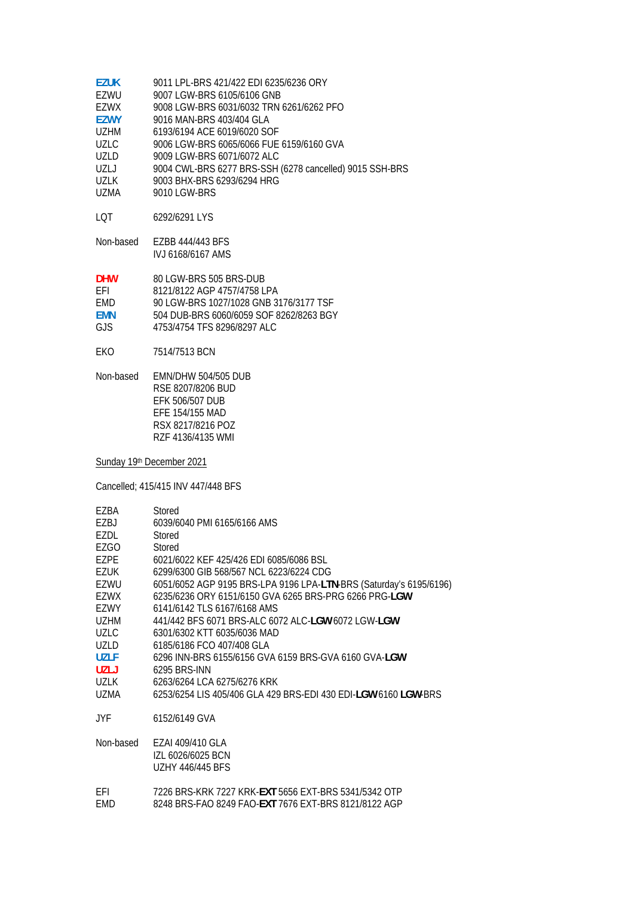| <b>EZUK</b> | 9011 LPL-BRS 421/422 EDI 6235/6236 ORY                  |
|-------------|---------------------------------------------------------|
| F7WU        | 9007 LGW-BRS 6105/6106 GNB                              |
| EZWX        | 9008 LGW-BRS 6031/6032 TRN 6261/6262 PFO                |
| <b>F7WY</b> | 9016 MAN-BRS 403/404 GLA                                |
| <b>UZHM</b> | 6193/6194 ACE 6019/6020 SOF                             |
| UZLC.       | 9006 LGW-BRS 6065/6066 FUE 6159/6160 GVA                |
| UZLD        | 9009 LGW-BRS 6071/6072 ALC                              |
| UZL J       | 9004 CWL-BRS 6277 BRS-SSH (6278 cancelled) 9015 SSH-BRS |
| 1171 K      | 9003 BHX-BRS 6293/6294 HRG                              |
| UZMA        | 9010 LGW-BRS                                            |
|             |                                                         |

- LQT 6292/6291 LYS
- Non-based EZBB 444/443 BFS IVJ 6168/6167 AMS

| <b>DHW</b> | 80 LGW-BRS 505 BRS-DUB                  |
|------------|-----------------------------------------|
| <b>FFI</b> | 8121/8122 AGP 4757/4758 LPA             |
| <b>FMD</b> | 90 LGW-BRS 1027/1028 GNB 3176/3177 TSF  |
| <b>FMN</b> | 504 DUB-BRS 6060/6059 SOF 8262/8263 BGY |
| G IS       | 4753/4754 TFS 8296/8297 ALC             |

- EKO 7514/7513 BCN
- Non-based EMN/DHW 504/505 DUB RSE 8207/8206 BUD EFK 506/507 DUB EFE 154/155 MAD RSX 8217/8216 POZ RZF 4136/4135 WMI

Sunday 19th December 2021

Cancelled; 415/415 INV 447/448 BFS

| EZBA        | Stored                                                             |
|-------------|--------------------------------------------------------------------|
| EZBJ        | 6039/6040 PMI 6165/6166 AMS                                        |
| EZDL        | Stored                                                             |
| EZGO        | Stored                                                             |
| EZPE        | 6021/6022 KEF 425/426 EDI 6085/6086 BSL                            |
| <b>EZUK</b> | 6299/6300 GIB 568/567 NCL 6223/6224 CDG                            |
| EZWU        | 6051/6052 AGP 9195 BRS-LPA 9196 LPA-LTN-BRS (Saturday's 6195/6196) |
| EZWX        | 6235/6236 ORY 6151/6150 GVA 6265 BRS-PRG 6266 PRG-LGW              |
| EZWY        | 6141/6142 TLS 6167/6168 AMS                                        |
| UZHM        | 441/442 BFS 6071 BRS-ALC 6072 ALC-LGW 6072 LGW-LGW                 |
| UZLC        | 6301/6302 KTT 6035/6036 MAD                                        |
| <b>UZLD</b> | 6185/6186 FCO 407/408 GLA                                          |
| <b>UZLF</b> | 6296 INN-BRS 6155/6156 GVA 6159 BRS-GVA 6160 GVA-LGW               |
| <b>UZLJ</b> | 6295 BRS-INN                                                       |
| UZLK        | 6263/6264 LCA 6275/6276 KRK                                        |
| UZMA        | 6253/6254 LIS 405/406 GLA 429 BRS-EDI 430 EDI-LGW 6160 LGW-BRS     |
|             |                                                                    |
| JYF.        | 6152/6149 GVA                                                      |
| Non-based   | EZAI 409/410 GLA<br>IZL 6026/6025 BCN<br><b>UZHY 446/445 BFS</b>   |
| FFI         | 7226 BRS-KRK 7227 KRK-EXT 5656 EXT-BRS 5341/5342 OTP               |
| <b>EMD</b>  | 8248 BRS-FAO 8249 FAO- <b>EXT</b> 7676 EXT-BRS 8121/8122 AGP       |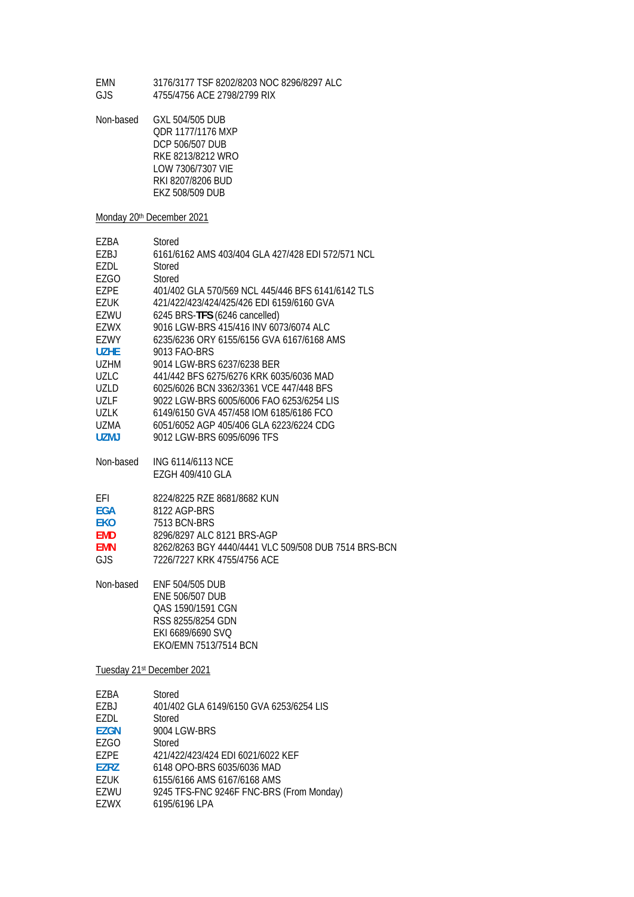EMN 3176/3177 TSF 8202/8203 NOC 8296/8297 ALC GJS 4755/4756 ACE 2798/2799 RIX

Non-based GXL 504/505 DUB QDR 1177/1176 MXP DCP 506/507 DUB RKE 8213/8212 WRO LOW 7306/7307 VIE RKI 8207/8206 BUD EKZ 508/509 DUB

#### Monday 20<sup>th</sup> December 2021

| EZBA        | Stored                                            |
|-------------|---------------------------------------------------|
| F7BJ        | 6161/6162 AMS 403/404 GLA 427/428 EDI 572/571 NCL |
| EZDL        | Stored                                            |
| EZGO        | Stored                                            |
| EZPE        | 401/402 GLA 570/569 NCL 445/446 BFS 6141/6142 TLS |
| EZUK        | 421/422/423/424/425/426 EDI 6159/6160 GVA         |
| F7WU        | 6245 BRS-TFS (6246 cancelled)                     |
| F7WX        | 9016 LGW-BRS 415/416 INV 6073/6074 ALC            |
| F7WY        | 6235/6236 ORY 6155/6156 GVA 6167/6168 AMS         |
| U7HF        | 9013 FAO-BRS                                      |
| <b>UZHM</b> | 9014 LGW-BRS 6237/6238 BER                        |
| UZLC        | 441/442 BFS 6275/6276 KRK 6035/6036 MAD           |
| UZLD.       | 6025/6026 BCN 3362/3361 VCE 447/448 BFS           |
| U71 F       | 9022 LGW-BRS 6005/6006 FAO 6253/6254 LIS          |
| 1171 K      | 6149/6150 GVA 457/458 IOM 6185/6186 FCO           |
| UZMA        | 6051/6052 AGP 405/406 GLA 6223/6224 CDG           |
| UZMJ        | 9012 LGW-BRS 6095/6096 TFS                        |
|             |                                                   |
| Non-based   | ING 6114/6113 NCE                                 |
|             | EZGH 409/410 GLA                                  |
|             |                                                   |

| FFI        | 8224/8225 RZE 8681/8682 KUN |
|------------|-----------------------------|
| <b>EGA</b> | 8122 AGP-BRS                |
| <b>FKO</b> | 7513 BCN-BRS                |

| FKU.       | 7513 BUN-BRS                                         |
|------------|------------------------------------------------------|
| <b>FMD</b> | 8296/8297 ALC 8121 BRS-AGP                           |
| <b>FMN</b> | 8262/8263 BGY 4440/4441 VLC 509/508 DUB 7514 BRS-BCN |
| GJS.       | 7226/7227 KRK 4755/4756 ACE                          |

Non-based ENF 504/505 DUB ENE 506/507 DUB QAS 1590/1591 CGN RSS 8255/8254 GDN EKI 6689/6690 SVQ EKO/EMN 7513/7514 BCN

### Tuesday 21st December 2021

| EZBA        | Stored                                   |
|-------------|------------------------------------------|
| EZBJ        | 401/402 GLA 6149/6150 GVA 6253/6254 LIS  |
| EZDL        | Stored                                   |
| EZGN        | 9004 LGW-BRS                             |
| EZGO        | Stored                                   |
| EZPE        | 421/422/423/424 EDI 6021/6022 KEF        |
| <b>EZRZ</b> | 6148 OPO-BRS 6035/6036 MAD               |
| EZUK        | 6155/6166 AMS 6167/6168 AMS              |
| EZWU        | 9245 TFS-FNC 9246F FNC-BRS (From Monday) |
| EZWX        | 6195/6196 LPA                            |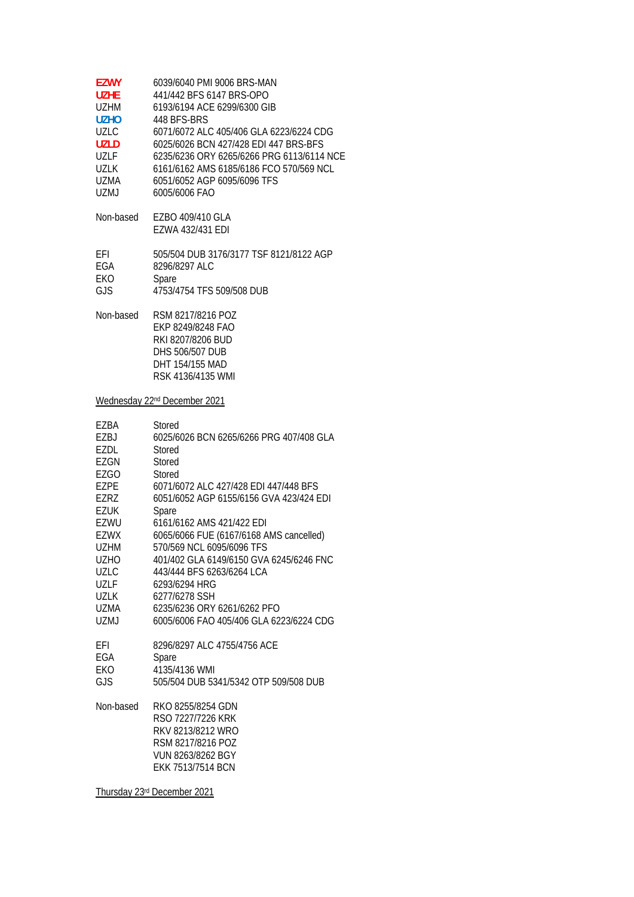| <b>EZWY</b><br><b>UZHE</b><br>UZHM<br><b>UZHO</b><br>UZLC<br><b>UZLD</b><br><b>UZLF</b><br><b>UZLK</b><br>UZMA<br>UZMJ                                                                | 6039/6040 PMI 9006 BRS-MAN<br>441/442 BFS 6147 BRS-OPO<br>6193/6194 ACE 6299/6300 GIB<br>448 BFS-BRS<br>6071/6072 ALC 405/406 GLA 6223/6224 CDG<br>6025/6026 BCN 427/428 EDI 447 BRS-BFS<br>6235/6236 ORY 6265/6266 PRG 6113/6114 NCE<br>6161/6162 AMS 6185/6186 FCO 570/569 NCL<br>6051/6052 AGP 6095/6096 TFS<br>6005/6006 FAO                                                                                                                                                                                               |
|---------------------------------------------------------------------------------------------------------------------------------------------------------------------------------------|--------------------------------------------------------------------------------------------------------------------------------------------------------------------------------------------------------------------------------------------------------------------------------------------------------------------------------------------------------------------------------------------------------------------------------------------------------------------------------------------------------------------------------|
| Non-based                                                                                                                                                                             | EZBO 409/410 GLA<br>EZWA 432/431 EDI                                                                                                                                                                                                                                                                                                                                                                                                                                                                                           |
| EFI<br>EGA<br>EKO<br>GJS                                                                                                                                                              | 505/504 DUB 3176/3177 TSF 8121/8122 AGP<br>8296/8297 ALC<br>Spare<br>4753/4754 TFS 509/508 DUB                                                                                                                                                                                                                                                                                                                                                                                                                                 |
| Non-based                                                                                                                                                                             | RSM 8217/8216 POZ<br>EKP 8249/8248 FAO<br>RKI 8207/8206 BUD<br><b>DHS 506/507 DUB</b><br>DHT 154/155 MAD<br>RSK 4136/4135 WMI                                                                                                                                                                                                                                                                                                                                                                                                  |
|                                                                                                                                                                                       | Wednesday 22 <sup>nd</sup> December 2021                                                                                                                                                                                                                                                                                                                                                                                                                                                                                       |
| EZBA<br>EZBJ<br>EZDL<br>EZGN<br>EZGO<br>EZPE<br><b>EZRZ</b><br>EZUK<br>EZWU<br><b>EZWX</b><br><b>UZHM</b><br>UZHO<br><b>UZLC</b><br>UZLF<br>UZLK<br>UZMA<br>UZMJ<br>EFI<br>EGA<br>EKO | Stored<br>6025/6026 BCN 6265/6266 PRG 407/408 GLA<br>Stored<br>Stored<br>Stored<br>6071/6072 ALC 427/428 EDI 447/448 BFS<br>6051/6052 AGP 6155/6156 GVA 423/424 EDI<br>Spare<br>6161/6162 AMS 421/422 EDI<br>6065/6066 FUE (6167/6168 AMS cancelled)<br>570/569 NCL 6095/6096 TFS<br>401/402 GLA 6149/6150 GVA 6245/6246 FNC<br>443/444 BFS 6263/6264 LCA<br>6293/6294 HRG<br>6277/6278 SSH<br>6235/6236 ORY 6261/6262 PFO<br>6005/6006 FAO 405/406 GLA 6223/6224 CDG<br>8296/8297 ALC 4755/4756 ACE<br>Spare<br>4135/4136 WMI |
| GJS                                                                                                                                                                                   | 505/504 DUB 5341/5342 OTP 509/508 DUB                                                                                                                                                                                                                                                                                                                                                                                                                                                                                          |
| Non-based                                                                                                                                                                             | RKO 8255/8254 GDN<br>RSO 7227/7226 KRK<br>RKV 8213/8212 WRO<br>RSM 8217/8216 POZ<br>VILINI 004210040 DCV                                                                                                                                                                                                                                                                                                                                                                                                                       |

 VUN 8263/8262 BGY EKK 7513/7514 BCN

Thursday 23rd December 2021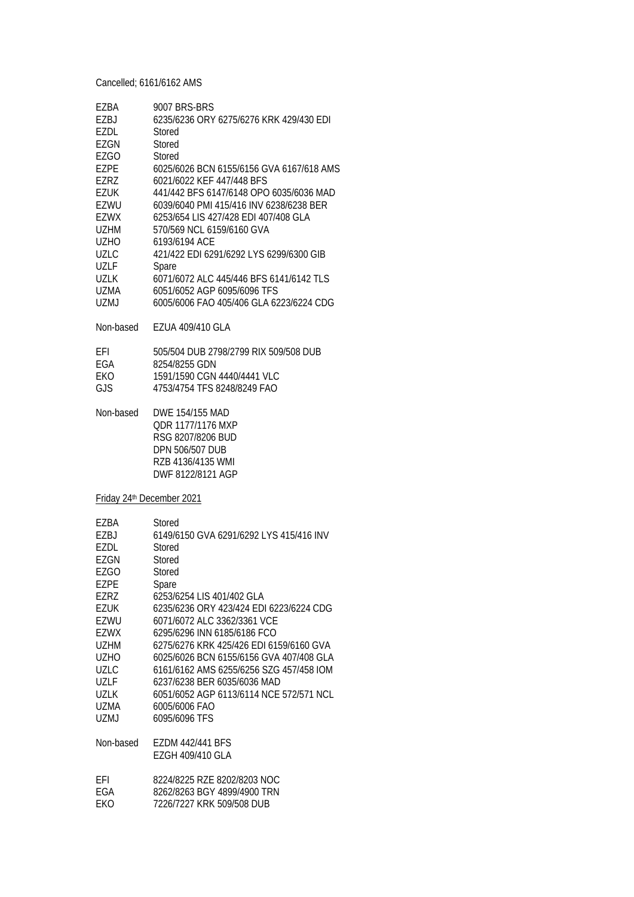Cancelled; 6161/6162 AMS

| EZBA<br>EZBJ<br>EZDL<br>EZGN<br><b>EZGO</b><br>EZPE<br><b>EZRZ</b><br><b>EZUK</b><br>EZWU<br><b>EZWX</b><br><b>UZHM</b><br><b>UZHO</b><br>UZLC<br>UZLF<br><b>UZLK</b><br>UZMA                              | 9007 BRS-BRS<br>6235/6236 ORY 6275/6276 KRK 429/430 EDI<br>Stored<br>Stored<br>Stored<br>6025/6026 BCN 6155/6156 GVA 6167/618 AMS<br>6021/6022 KEF 447/448 BFS<br>441/442 BFS 6147/6148 OPO 6035/6036 MAD<br>6039/6040 PMI 415/416 INV 6238/6238 BER<br>6253/654 LIS 427/428 EDI 407/408 GLA<br>570/569 NCL 6159/6160 GVA<br>6193/6194 ACE<br>421/422 EDI 6291/6292 LYS 6299/6300 GIB<br>Spare<br>6071/6072 ALC 445/446 BFS 6141/6142 TLS<br>6051/6052 AGP 6095/6096 TFS           |
|------------------------------------------------------------------------------------------------------------------------------------------------------------------------------------------------------------|------------------------------------------------------------------------------------------------------------------------------------------------------------------------------------------------------------------------------------------------------------------------------------------------------------------------------------------------------------------------------------------------------------------------------------------------------------------------------------|
| UZMJ                                                                                                                                                                                                       | 6005/6006 FAO 405/406 GLA 6223/6224 CDG                                                                                                                                                                                                                                                                                                                                                                                                                                            |
| Non-based                                                                                                                                                                                                  | EZUA 409/410 GLA                                                                                                                                                                                                                                                                                                                                                                                                                                                                   |
| EFI<br>EGA<br>EKO<br>GJS                                                                                                                                                                                   | 505/504 DUB 2798/2799 RIX 509/508 DUB<br>8254/8255 GDN<br>1591/1590 CGN 4440/4441 VLC<br>4753/4754 TFS 8248/8249 FAO                                                                                                                                                                                                                                                                                                                                                               |
| Non-based                                                                                                                                                                                                  | DWE 154/155 MAD<br>QDR 1177/1176 MXP<br>RSG 8207/8206 BUD<br>DPN 506/507 DUB<br>RZB 4136/4135 WMI<br>DWF 8122/8121 AGP                                                                                                                                                                                                                                                                                                                                                             |
| Friday 24th December 2021                                                                                                                                                                                  |                                                                                                                                                                                                                                                                                                                                                                                                                                                                                    |
| EZBA<br><b>EZBJ</b><br>EZDL<br><b>EZGN</b><br><b>EZGO</b><br>EZPE<br>EZRZ<br><b>EZUK</b><br>EZWU<br><b>EZWX</b><br><b>UZHM</b><br><b>UZHO</b><br>UZLC<br><b>UZLF</b><br><b>UZLK</b><br>UZMA<br><b>UZMJ</b> | <b>Stored</b><br>6149/6150 GVA 6291/6292 LYS 415/416 INV<br>Stored<br>Stored<br>Stored<br>Spare<br>6253/6254 LIS 401/402 GLA<br>6235/6236 ORY 423/424 EDI 6223/6224 CDG<br>6071/6072 ALC 3362/3361 VCE<br>6295/6296 INN 6185/6186 FCO<br>6275/6276 KRK 425/426 EDI 6159/6160 GVA<br>6025/6026 BCN 6155/6156 GVA 407/408 GLA<br>6161/6162 AMS 6255/6256 SZG 457/458 IOM<br>6237/6238 BER 6035/6036 MAD<br>6051/6052 AGP 6113/6114 NCE 572/571 NCL<br>6005/6006 FAO<br>6095/6096 TFS |
| Non-based                                                                                                                                                                                                  | <b>EZDM 442/441 BFS</b><br>EZGH 409/410 GLA                                                                                                                                                                                                                                                                                                                                                                                                                                        |
| EFI<br>EGA                                                                                                                                                                                                 | 8224/8225 RZE 8202/8203 NOC<br>8262/8263 BGY 4899/4900 TRN                                                                                                                                                                                                                                                                                                                                                                                                                         |

EKO 7226/7227 KRK 509/508 DUB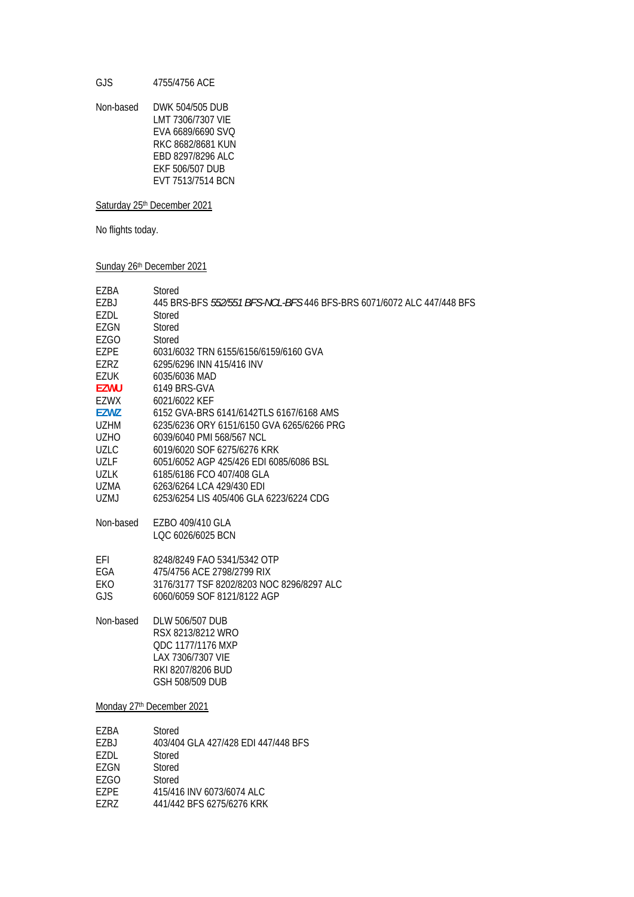GJS 4755/4756 ACE

Non-based DWK 504/505 DUB LMT 7306/7307 VIE EVA 6689/6690 SVQ RKC 8682/8681 KUN EBD 8297/8296 ALC EKF 506/507 DUB EVT 7513/7514 BCN

### Saturday 25<sup>th</sup> December 2021

No flights today.

Sunday 26<sup>th</sup> December 2021

| EZBA        | Stored                                                                |
|-------------|-----------------------------------------------------------------------|
| EZBJ        | 445 BRS-BFS 552/551 BFS-NCL-BFS 446 BFS-BRS 6071/6072 ALC 447/448 BFS |
| EZDL        | Stored                                                                |
| EZGN        | Stored                                                                |
| EZGO        | Stored                                                                |
| <b>EZPE</b> | 6031/6032 TRN 6155/6156/6159/6160 GVA                                 |
| <b>EZRZ</b> | 6295/6296 INN 415/416 INV                                             |
| EZUK        | 6035/6036 MAD                                                         |
| <b>EZWU</b> | 6149 BRS-GVA                                                          |
| EZWX        | 6021/6022 KEF                                                         |
| <b>EZWZ</b> | 6152 GVA-BRS 6141/6142TLS 6167/6168 AMS                               |
| <b>UZHM</b> | 6235/6236 ORY 6151/6150 GVA 6265/6266 PRG                             |
| <b>UZHO</b> | 6039/6040 PMI 568/567 NCL                                             |
| <b>UZLC</b> | 6019/6020 SOF 6275/6276 KRK                                           |
| <b>UZLF</b> | 6051/6052 AGP 425/426 EDI 6085/6086 BSL                               |
| <b>UZLK</b> | 6185/6186 FCO 407/408 GLA                                             |
| UZMA        | 6263/6264 LCA 429/430 EDI                                             |
| <b>UZMJ</b> | 6253/6254 LIS 405/406 GLA 6223/6224 CDG                               |
|             |                                                                       |
| Non-based   | EZBO 409/410 GLA                                                      |
|             | LQC 6026/6025 BCN                                                     |
|             |                                                                       |
| EFI         | 8248/8249 FAO 5341/5342 OTP                                           |
| EGA         | 475/4756 ACE 2798/2799 RIX                                            |
| EKO         | 3176/3177 TSF 8202/8203 NOC 8296/8297 ALC                             |
| GJS         | 6060/6059 SOF 8121/8122 AGP                                           |
|             |                                                                       |
| Non-based   | <b>DLW 506/507 DUB</b>                                                |
|             | RSX 8213/8212 WRO                                                     |
|             | QDC 1177/1176 MXP                                                     |
|             | LAX 7306/7307 VIE                                                     |
|             | RKI 8207/8206 BUD                                                     |
|             | GSH 508/509 DUB                                                       |
|             |                                                                       |
|             | Monday 27th December 2021                                             |
|             |                                                                       |
| EZBA        | Stored                                                                |
| EZBJ        | 403/404 GLA 427/428 EDI 447/448 BFS                                   |
| EZDL        | Stored                                                                |
| EZGN        | Stored                                                                |
| <b>EZGO</b> | Stored                                                                |

EZPE 415/416 INV 6073/6074 ALC<br>EZRZ 441/442 BFS 6275/6276 KRK 441/442 BFS 6275/6276 KRK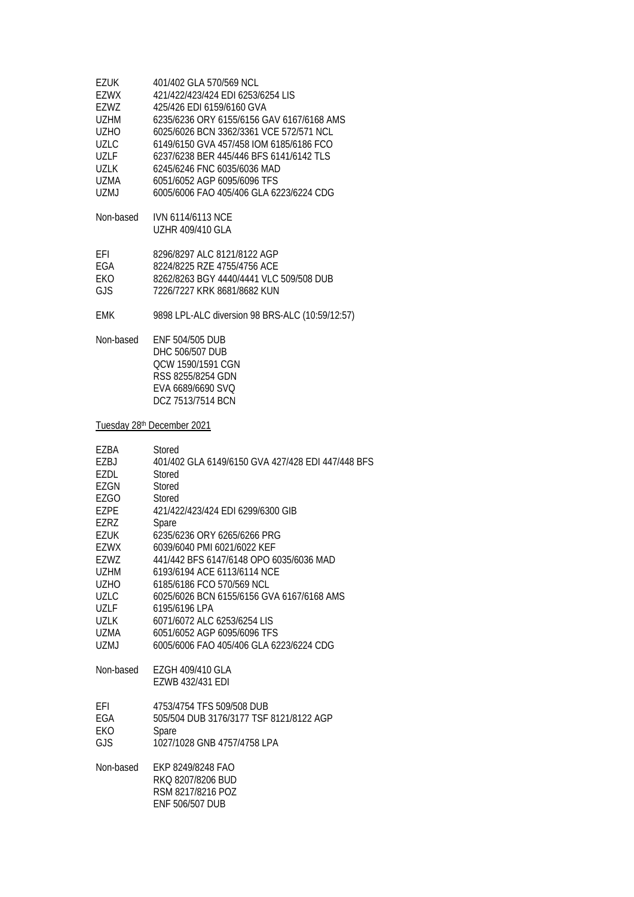| EZUK        | 401/402 GLA 570/569 NCL                         |
|-------------|-------------------------------------------------|
| EZWX        | 421/422/423/424 EDI 6253/6254 LIS               |
| F7W7        | 425/426 FDI 6159/6160 GVA                       |
| UZHM        | 6235/6236 ORY 6155/6156 GAV 6167/6168 AMS       |
| UZHO        | 6025/6026 BCN 3362/3361 VCF 572/571 NCL         |
| UZLC        | 6149/6150 GVA 457/458 IOM 6185/6186 FCO         |
| <b>UZLF</b> | 6237/6238 BFR 445/446 BFS 6141/6142 TLS         |
| UZLK        | 6245/6246 FNC 6035/6036 MAD                     |
| UZMA        | 6051/6052 AGP 6095/6096 TFS                     |
| UZMJ        | 6005/6006 FAO 405/406 GLA 6223/6224 CDG         |
|             |                                                 |
| Non-based   | <b>IVN 6114/6113 NCF</b>                        |
|             | UZHR 409/410 GLA                                |
| EFI         | 8296/8297 ALC 8121/8122 AGP                     |
| FGA         | 8224/8225 RZF 4755/4756 ACF                     |
| EKO.        | 8262/8263 BGY 4440/4441 VLC 509/508 DUB         |
| GJS.        | 7226/7227 KRK 8681/8682 KUN                     |
|             |                                                 |
| <b>EMK</b>  | 9898 LPL-ALC diversion 98 BRS-ALC (10:59/12:57) |
| Non-based   | ENF 504/505 DUB                                 |
|             | DHC 506/507 DUB                                 |
|             | OCW 1590/1591 CGN                               |
|             | RSS 8255/8254 GDN                               |
|             | EVA 6689/6690 SVO                               |

Tuesday 28<sup>th</sup> December 2021

DCZ 7513/7514 BCN

| EZBA<br>EZBJ<br>EZDL<br>EZGN<br><b>EZGO</b> | Stored<br>401/402 GLA 6149/6150 GVA 427/428 EDI 447/448 BFS<br>Stored<br>Stored<br>Stored |
|---------------------------------------------|-------------------------------------------------------------------------------------------|
| EZPE                                        | 421/422/423/424 FDI 6299/6300 GIB                                                         |
| EZRZ                                        | Spare                                                                                     |
| EZUK                                        | 6235/6236 ORY 6265/6266 PRG                                                               |
| EZWX                                        | 6039/6040 PMI 6021/6022 KFF                                                               |
| F7W7                                        | 441/442 BES 6147/6148 OPO 6035/6036 MAD                                                   |
| <b>UZHM</b>                                 | 6193/6194 ACE 6113/6114 NCE                                                               |
| <b>UZHO</b>                                 | 6185/6186 FCO 570/569 NCL                                                                 |
| <b>UZLC</b>                                 | 6025/6026 BCN 6155/6156 GVA 6167/6168 AMS                                                 |
| <b>UZLF</b>                                 | 6195/6196 LPA                                                                             |
| 1J7K                                        | 6071/6072 ALC 6253/6254 LIS                                                               |
| UZMA                                        | 6051/6052 AGP 6095/6096 TFS                                                               |
| U7M                                         | 6005/6006 FAO 405/406 GLA 6223/6224 CDG                                                   |
| Non-based                                   | EZGH 409/410 GLA<br><b>EZWB 432/431 EDI</b>                                               |
| EFI<br>EGA<br>EKO                           | 4753/4754 TFS 509/508 DUB<br>505/504 DUB 3176/3177 TSF 8121/8122 AGP<br>Spare             |
| GJS                                         | 1027/1028 GNB 4757/4758 LPA                                                               |
| Non-based                                   | FKP 8249/8248 FAO<br>RKO 8207/8206 BUD<br>RSM 8217/8216 POZ<br>ENF 506/507 DUB            |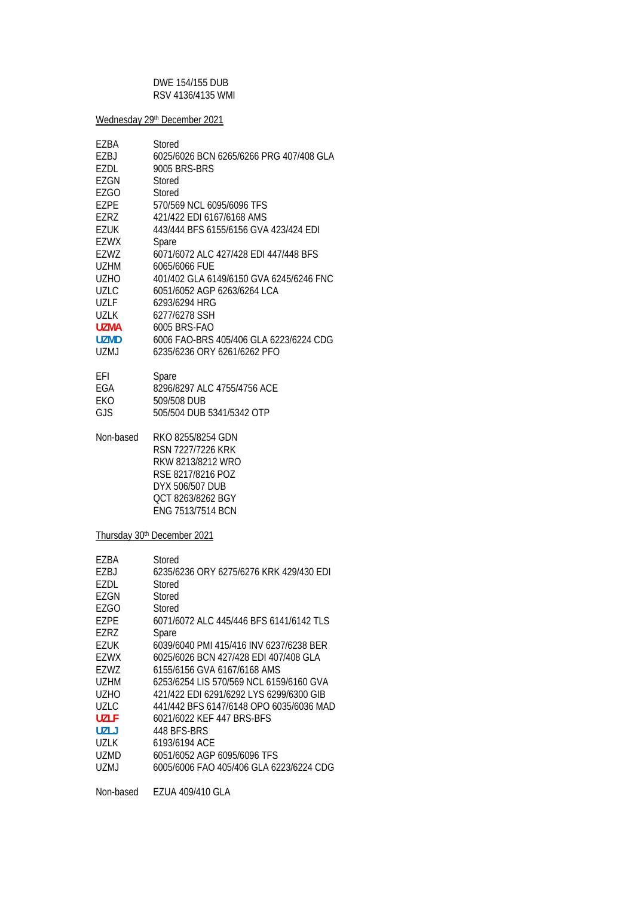### DWE 154/155 DUB RSV 4136/4135 WMI

Wednesday 29th December 2021

| EZBA<br>EZBJ<br><b>EZDL</b><br>EZGN<br>EZGO<br><b>EZPE</b><br>EZRZ<br><b>EZUK</b><br>EZWX<br>EZWZ<br><b>UZHM</b><br><b>UZHO</b> | Stored<br>6025/6026 BCN 6265/6266 PRG 407/408 GLA<br>9005 BRS-BRS<br>Stored<br>Stored<br>570/569 NCL 6095/6096 TFS<br>421/422 EDI 6167/6168 AMS<br>443/444 BFS 6155/6156 GVA 423/424 EDI<br>Spare<br>6071/6072 ALC 427/428 EDI 447/448 BFS<br>6065/6066 FUE<br>401/402 GLA 6149/6150 GVA 6245/6246 FNC |
|---------------------------------------------------------------------------------------------------------------------------------|--------------------------------------------------------------------------------------------------------------------------------------------------------------------------------------------------------------------------------------------------------------------------------------------------------|
| <b>UZLC</b><br><b>UZLF</b>                                                                                                      | 6051/6052 AGP 6263/6264 LCA<br>6293/6294 HRG                                                                                                                                                                                                                                                           |
| <b>UZLK</b>                                                                                                                     | 6277/6278 SSH                                                                                                                                                                                                                                                                                          |
| <b>UZMA</b>                                                                                                                     | 6005 BRS-FAO                                                                                                                                                                                                                                                                                           |
| <b>UZMD</b>                                                                                                                     | 6006 FAO-BRS 405/406 GLA 6223/6224 CDG                                                                                                                                                                                                                                                                 |
| <b>UZMJ</b>                                                                                                                     | 6235/6236 ORY 6261/6262 PFO                                                                                                                                                                                                                                                                            |
| EFI                                                                                                                             | Spare                                                                                                                                                                                                                                                                                                  |
| EGA                                                                                                                             | 8296/8297 ALC 4755/4756 ACE                                                                                                                                                                                                                                                                            |
| EKO<br>GJS                                                                                                                      | 509/508 DUB<br>505/504 DUB 5341/5342 OTP                                                                                                                                                                                                                                                               |
|                                                                                                                                 |                                                                                                                                                                                                                                                                                                        |
| Non-based                                                                                                                       | RKO 8255/8254 GDN<br>RSN 7227/7226 KRK<br>RKW 8213/8212 WRO<br>RSE 8217/8216 POZ<br>DYX 506/507 DUB<br>QCT 8263/8262 BGY<br>ENG 7513/7514 BCN                                                                                                                                                          |
|                                                                                                                                 | Thursday 30 <sup>th</sup> December 2021                                                                                                                                                                                                                                                                |
| EZBA<br>EZBJ<br>EZDL<br><b>EZGN</b>                                                                                             | Stored<br>6235/6236 ORY 6275/6276 KRK 429/430 FDI<br>Stored<br>Stored                                                                                                                                                                                                                                  |
| <b>EZGO</b>                                                                                                                     | Stored                                                                                                                                                                                                                                                                                                 |
| <b>EZPE</b>                                                                                                                     | 6071/6072 ALC 445/446 BFS 6141/6142 TLS                                                                                                                                                                                                                                                                |
| EZRZ                                                                                                                            | Spare                                                                                                                                                                                                                                                                                                  |
| <b>EZUK</b>                                                                                                                     | 6039/6040 PMI 415/416 INV 6237/6238 BER                                                                                                                                                                                                                                                                |
| <b>EZWX</b>                                                                                                                     | 6025/6026 BCN 427/428 EDI 407/408 GLA<br>6155/6156 GVA 6167/6168 AMS                                                                                                                                                                                                                                   |
| EZWZ<br><b>UZHM</b>                                                                                                             | 6253/6254 LIS 570/569 NCL 6159/6160 GVA                                                                                                                                                                                                                                                                |
| <b>UZHO</b>                                                                                                                     | 421/422 EDI 6291/6292 LYS 6299/6300 GIB                                                                                                                                                                                                                                                                |
| <b>UZLC</b>                                                                                                                     | 441/442 BFS 6147/6148 OPO 6035/6036 MAD                                                                                                                                                                                                                                                                |
| <b>UZLF</b>                                                                                                                     | 6021/6022 KEF 447 BRS-BFS                                                                                                                                                                                                                                                                              |
| <b>UZLJ</b>                                                                                                                     | 448 BFS-BRS                                                                                                                                                                                                                                                                                            |
| <b>UZLK</b>                                                                                                                     | 6193/6194 ACE                                                                                                                                                                                                                                                                                          |
| UZMD                                                                                                                            | 6051/6052 AGP 6095/6096 TFS                                                                                                                                                                                                                                                                            |

| 6005/6006 FAO 405/406 GLA 6223/6224 CDG | UZMJ |  |  |  |
|-----------------------------------------|------|--|--|--|
|-----------------------------------------|------|--|--|--|

Non-based EZUA 409/410 GLA